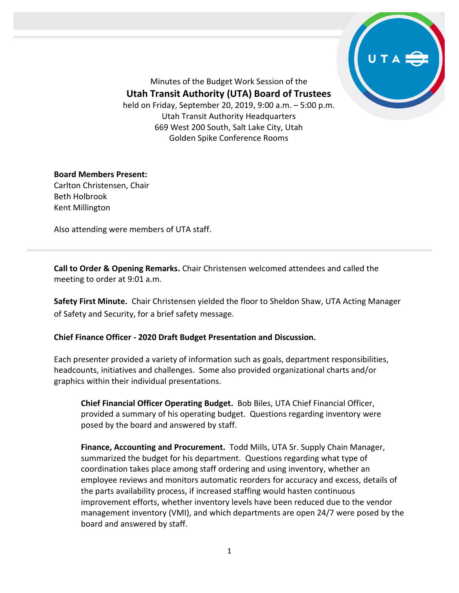

Minutes of the Budget Work Session of the **Utah Transit Authority (UTA) Board of Trustees** held on Friday, September 20, 2019, 9:00 a.m. – 5:00 p.m. Utah Transit Authority Headquarters 669 West 200 South, Salt Lake City, Utah Golden Spike Conference Rooms

## **Board Members Present:**

Carlton Christensen, Chair Beth Holbrook Kent Millington

Also attending were members of UTA staff.

**Call to Order & Opening Remarks.** Chair Christensen welcomed attendees and called the meeting to order at 9:01 a.m.

**Safety First Minute.** Chair Christensen yielded the floor to Sheldon Shaw, UTA Acting Manager of Safety and Security, for a brief safety message.

## **Chief Finance Officer - 2020 Draft Budget Presentation and Discussion.**

Each presenter provided a variety of information such as goals, department responsibilities, headcounts, initiatives and challenges. Some also provided organizational charts and/or graphics within their individual presentations.

**Chief Financial Officer Operating Budget.** Bob Biles, UTA Chief Financial Officer, provided a summary of his operating budget. Questions regarding inventory were posed by the board and answered by staff.

**Finance, Accounting and Procurement.** Todd Mills, UTA Sr. Supply Chain Manager, summarized the budget for his department. Questions regarding what type of coordination takes place among staff ordering and using inventory, whether an employee reviews and monitors automatic reorders for accuracy and excess, details of the parts availability process, if increased staffing would hasten continuous improvement efforts, whether inventory levels have been reduced due to the vendor management inventory (VMI), and which departments are open 24/7 were posed by the board and answered by staff.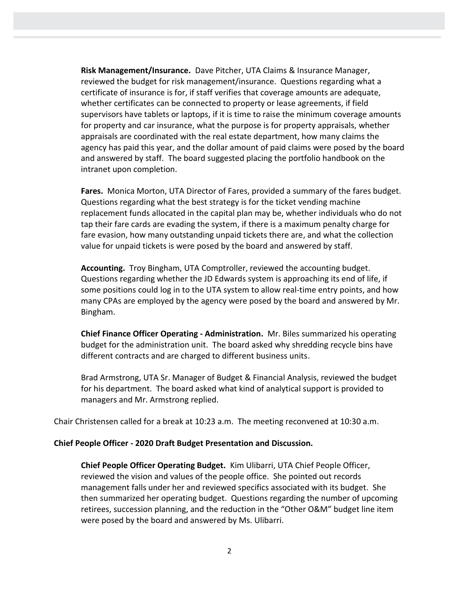**Risk Management/Insurance.** Dave Pitcher, UTA Claims & Insurance Manager, reviewed the budget for risk management/insurance. Questions regarding what a certificate of insurance is for, if staff verifies that coverage amounts are adequate, whether certificates can be connected to property or lease agreements, if field supervisors have tablets or laptops, if it is time to raise the minimum coverage amounts for property and car insurance, what the purpose is for property appraisals, whether appraisals are coordinated with the real estate department, how many claims the agency has paid this year, and the dollar amount of paid claims were posed by the board and answered by staff. The board suggested placing the portfolio handbook on the intranet upon completion.

**Fares.** Monica Morton, UTA Director of Fares, provided a summary of the fares budget. Questions regarding what the best strategy is for the ticket vending machine replacement funds allocated in the capital plan may be, whether individuals who do not tap their fare cards are evading the system, if there is a maximum penalty charge for fare evasion, how many outstanding unpaid tickets there are, and what the collection value for unpaid tickets is were posed by the board and answered by staff.

**Accounting.** Troy Bingham, UTA Comptroller, reviewed the accounting budget. Questions regarding whether the JD Edwards system is approaching its end of life, if some positions could log in to the UTA system to allow real-time entry points, and how many CPAs are employed by the agency were posed by the board and answered by Mr. Bingham.

**Chief Finance Officer Operating - Administration.** Mr. Biles summarized his operating budget for the administration unit. The board asked why shredding recycle bins have different contracts and are charged to different business units.

Brad Armstrong, UTA Sr. Manager of Budget & Financial Analysis, reviewed the budget for his department. The board asked what kind of analytical support is provided to managers and Mr. Armstrong replied.

Chair Christensen called for a break at 10:23 a.m. The meeting reconvened at 10:30 a.m.

### **Chief People Officer - 2020 Draft Budget Presentation and Discussion.**

**Chief People Officer Operating Budget.** Kim Ulibarri, UTA Chief People Officer, reviewed the vision and values of the people office. She pointed out records management falls under her and reviewed specifics associated with its budget. She then summarized her operating budget. Questions regarding the number of upcoming retirees, succession planning, and the reduction in the "Other O&M" budget line item were posed by the board and answered by Ms. Ulibarri.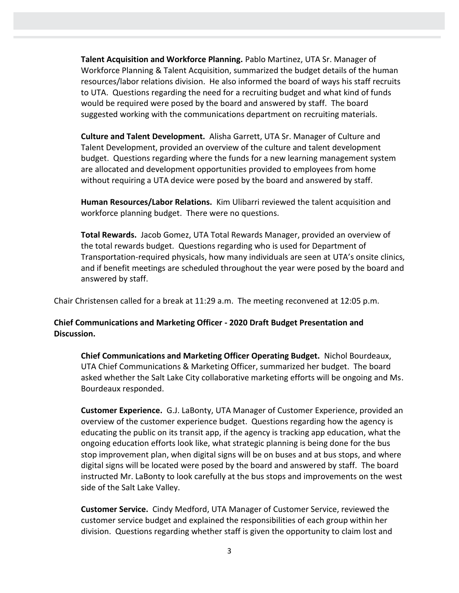**Talent Acquisition and Workforce Planning.** Pablo Martinez, UTA Sr. Manager of Workforce Planning & Talent Acquisition, summarized the budget details of the human resources/labor relations division. He also informed the board of ways his staff recruits to UTA. Questions regarding the need for a recruiting budget and what kind of funds would be required were posed by the board and answered by staff. The board suggested working with the communications department on recruiting materials.

**Culture and Talent Development.** Alisha Garrett, UTA Sr. Manager of Culture and Talent Development, provided an overview of the culture and talent development budget. Questions regarding where the funds for a new learning management system are allocated and development opportunities provided to employees from home without requiring a UTA device were posed by the board and answered by staff.

**Human Resources/Labor Relations.** Kim Ulibarri reviewed the talent acquisition and workforce planning budget. There were no questions.

**Total Rewards.** Jacob Gomez, UTA Total Rewards Manager, provided an overview of the total rewards budget. Questions regarding who is used for Department of Transportation-required physicals, how many individuals are seen at UTA's onsite clinics, and if benefit meetings are scheduled throughout the year were posed by the board and answered by staff.

Chair Christensen called for a break at 11:29 a.m. The meeting reconvened at 12:05 p.m.

# **Chief Communications and Marketing Officer - 2020 Draft Budget Presentation and Discussion.**

**Chief Communications and Marketing Officer Operating Budget.** Nichol Bourdeaux, UTA Chief Communications & Marketing Officer, summarized her budget. The board asked whether the Salt Lake City collaborative marketing efforts will be ongoing and Ms. Bourdeaux responded.

**Customer Experience.** G.J. LaBonty, UTA Manager of Customer Experience, provided an overview of the customer experience budget. Questions regarding how the agency is educating the public on its transit app, if the agency is tracking app education, what the ongoing education efforts look like, what strategic planning is being done for the bus stop improvement plan, when digital signs will be on buses and at bus stops, and where digital signs will be located were posed by the board and answered by staff. The board instructed Mr. LaBonty to look carefully at the bus stops and improvements on the west side of the Salt Lake Valley.

**Customer Service.** Cindy Medford, UTA Manager of Customer Service, reviewed the customer service budget and explained the responsibilities of each group within her division. Questions regarding whether staff is given the opportunity to claim lost and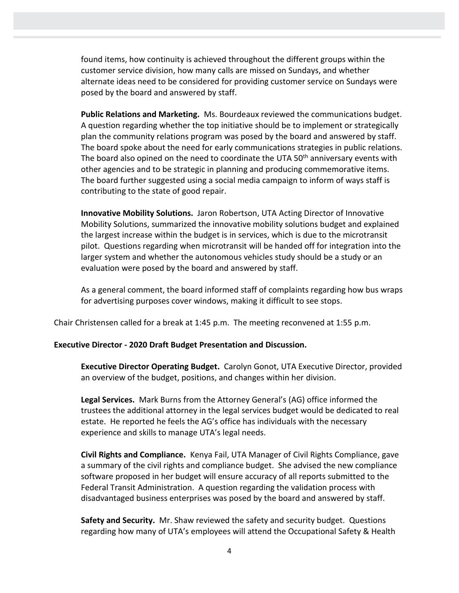found items, how continuity is achieved throughout the different groups within the customer service division, how many calls are missed on Sundays, and whether alternate ideas need to be considered for providing customer service on Sundays were posed by the board and answered by staff.

**Public Relations and Marketing.** Ms. Bourdeaux reviewed the communications budget. A question regarding whether the top initiative should be to implement or strategically plan the community relations program was posed by the board and answered by staff. The board spoke about the need for early communications strategies in public relations. The board also opined on the need to coordinate the UTA 50<sup>th</sup> anniversary events with other agencies and to be strategic in planning and producing commemorative items. The board further suggested using a social media campaign to inform of ways staff is contributing to the state of good repair.

**Innovative Mobility Solutions.** Jaron Robertson, UTA Acting Director of Innovative Mobility Solutions, summarized the innovative mobility solutions budget and explained the largest increase within the budget is in services, which is due to the microtransit pilot. Questions regarding when microtransit will be handed off for integration into the larger system and whether the autonomous vehicles study should be a study or an evaluation were posed by the board and answered by staff.

As a general comment, the board informed staff of complaints regarding how bus wraps for advertising purposes cover windows, making it difficult to see stops.

Chair Christensen called for a break at 1:45 p.m. The meeting reconvened at 1:55 p.m.

#### **Executive Director - 2020 Draft Budget Presentation and Discussion.**

**Executive Director Operating Budget.** Carolyn Gonot, UTA Executive Director, provided an overview of the budget, positions, and changes within her division.

**Legal Services.** Mark Burns from the Attorney General's (AG) office informed the trustees the additional attorney in the legal services budget would be dedicated to real estate. He reported he feels the AG's office has individuals with the necessary experience and skills to manage UTA's legal needs.

**Civil Rights and Compliance.** Kenya Fail, UTA Manager of Civil Rights Compliance, gave a summary of the civil rights and compliance budget. She advised the new compliance software proposed in her budget will ensure accuracy of all reports submitted to the Federal Transit Administration. A question regarding the validation process with disadvantaged business enterprises was posed by the board and answered by staff.

**Safety and Security.** Mr. Shaw reviewed the safety and security budget. Questions regarding how many of UTA's employees will attend the Occupational Safety & Health